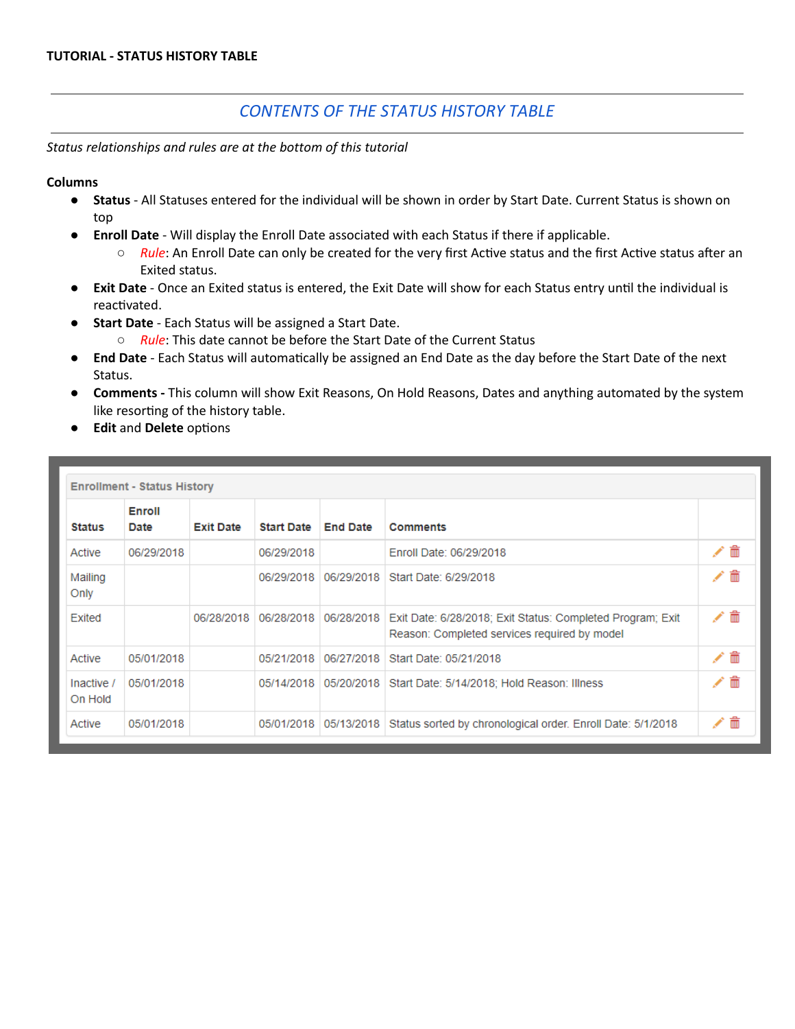### *CONTENTS OF THE STATUS HISTORY TABLE*

*Status relationships and rules are at the bottom of this tutorial*

**Columns**

- **Status** All Statuses entered for the individual will be shown in order by Start Date. Current Status is shown on top
- **Enroll Date** Will display the Enroll Date associated with each Status if there if applicable.
	- *Rule*: An Enroll Date can only be created for the very first Active status and the first Active status after an Exited status.
- **Exit Date** Once an Exited status is entered, the Exit Date will show for each Status entry until the individual is reactivated.
- **Start Date** Each Status will be assigned a Start Date.
	- *Rule*: This date cannot be before the Start Date of the Current Status
- **.** End Date Each Status will automatically be assigned an End Date as the day before the Start Date of the next Status.
- **● Comments -** This column will show Exit Reasons, On Hold Reasons, Dates and anything automated by the system like resorting of the history table.
- **• Edit** and **Delete** options

|                       | <b>Enrollment - Status History</b> |                  |                   |                 |                                                                                                                         |   |     |
|-----------------------|------------------------------------|------------------|-------------------|-----------------|-------------------------------------------------------------------------------------------------------------------------|---|-----|
| <b>Status</b>         | Enroll<br>Date                     | <b>Exit Date</b> | <b>Start Date</b> | <b>End Date</b> | <b>Comments</b>                                                                                                         |   |     |
| Active                | 06/29/2018                         |                  | 06/29/2018        |                 | Enroll Date: 06/29/2018                                                                                                 |   | ╱⋒  |
| Mailing<br>Only       |                                    |                  | 06/29/2018        |                 | 06/29/2018   Start Date: 6/29/2018                                                                                      |   | ╱⋒  |
| Exited                |                                    | 06/28/2018       | 06/28/2018        |                 | 06/28/2018   Exit Date: 6/28/2018; Exit Status: Completed Program; Exit<br>Reason: Completed services required by model |   | ╱ ≡ |
| Active                | 05/01/2018                         |                  | 05/21/2018        |                 | 06/27/2018   Start Date: 05/21/2018                                                                                     |   | ╱⋒  |
| Inactive /<br>On Hold | 05/01/2018                         |                  |                   |                 | 05/14/2018 05/20/2018 Start Date: 5/14/2018; Hold Reason: Illness                                                       |   | ╱⋒  |
| Active                | 05/01/2018                         |                  |                   |                 | 05/01/2018   05/13/2018   Status sorted by chronological order. Enroll Date: 5/1/2018                                   | ◢ | 侖   |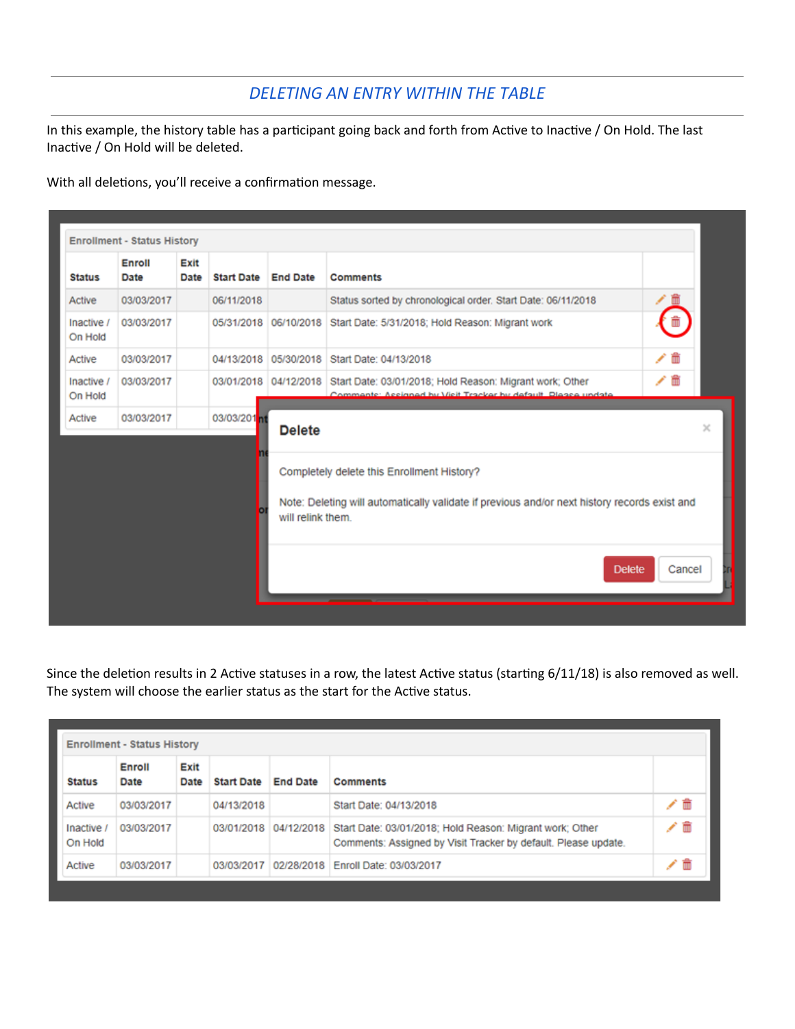## *DELETING AN ENTRY WITHIN THE TABLE*

In this example, the history table has a participant going back and forth from Active to Inactive / On Hold. The last Inactive / On Hold will be deleted.

With all deletions, you'll receive a confirmation message.

| <b>Status</b>         | Enroll<br>Date | Exit<br>Date | <b>Start Date End Date</b> |                   | <b>Comments</b>                                                                                                                                 |        |
|-----------------------|----------------|--------------|----------------------------|-------------------|-------------------------------------------------------------------------------------------------------------------------------------------------|--------|
| Active                | 03/03/2017     |              | 06/11/2018                 |                   | Status sorted by chronological order. Start Date: 06/11/2018                                                                                    | ∕⊡     |
| Inactive /<br>On Hold | 03/03/2017     |              |                            |                   | 05/31/2018 06/10/2018 Start Date: 5/31/2018; Hold Reason: Migrant work                                                                          |        |
| Active                | 03/03/2017     |              | 04/13/2018                 | 05/30/2018        | Start Date: 04/13/2018                                                                                                                          | ╱≡     |
| Inactive /<br>On Hold | 03/03/2017     |              |                            |                   | 03/01/2018 04/12/2018 Start Date: 03/01/2018; Hold Reason: Migrant work; Other<br>Commente: Accionad by Vicit Tracker by default, Diesce undate | ╱ ₩    |
| Active                | 03/03/2017     |              | 03/03/201 <b>m</b>         | <b>Delete</b>     |                                                                                                                                                 |        |
|                       |                |              |                            | will relink them. | Completely delete this Enrollment History?<br>Note: Deleting will automatically validate if previous and/or next history records exist and      |        |
|                       |                |              |                            |                   | <b>Delete</b>                                                                                                                                   | Cancel |

Since the deletion results in 2 Active statuses in a row, the latest Active status (starting 6/11/18) is also removed as well. The system will choose the earlier status as the start for the Active status.

|                     | <b>Enrollment - Status History</b> |              |                   |                 |                                                                                                                                                  |     |
|---------------------|------------------------------------|--------------|-------------------|-----------------|--------------------------------------------------------------------------------------------------------------------------------------------------|-----|
| <b>Status</b>       | Enroll<br>Date                     | Exit<br>Date | <b>Start Date</b> | <b>End Date</b> | <b>Comments</b>                                                                                                                                  |     |
| Active              | 03/03/2017                         |              | 04/13/2018        |                 | Start Date: 04/13/2018                                                                                                                           | /亩  |
| Inactive<br>On Hold | 03/03/2017                         |              |                   |                 | 03/01/2018 04/12/2018 Start Date: 03/01/2018; Hold Reason: Migrant work; Other<br>Comments: Assigned by Visit Tracker by default. Please update. | ╱ ≡ |
| Active              | 03/03/2017                         |              |                   |                 | 03/03/2017 02/28/2018 Enroll Date: 03/03/2017                                                                                                    | û   |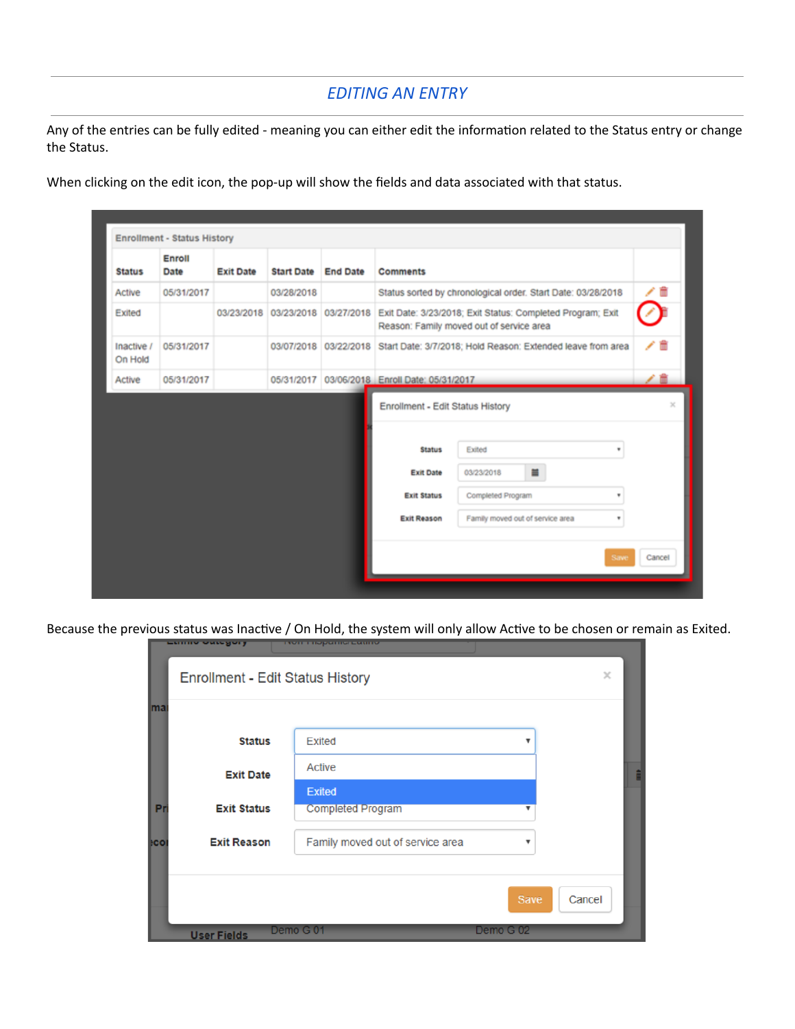# *EDITING AN ENTRY*

Any of the entries can be fully edited - meaning you can either edit the information related to the Status entry or change the Status.

When clicking on the edit icon, the pop-up will show the fields and data associated with that status.

| <b>Status</b>         | Enroll<br>Date | <b>Exit Date</b> | <b>Start Date</b> | <b>End Date</b> | <b>Comments</b>                                                               |                                                                                                                              |        |
|-----------------------|----------------|------------------|-------------------|-----------------|-------------------------------------------------------------------------------|------------------------------------------------------------------------------------------------------------------------------|--------|
| Active                | 05/31/2017     |                  | 03/28/2018        |                 |                                                                               | Status sorted by chronological order. Start Date: 03/28/2018                                                                 | Ħ      |
| Exited                |                | 03/23/2018       |                   |                 |                                                                               | 03/23/2018 03/27/2018 Exit Date: 3/23/2018; Exit Status: Completed Program; Exit<br>Reason: Family moved out of service area |        |
| Inactive /<br>On Hold | 05/31/2017     |                  |                   |                 |                                                                               | 03/07/2018 03/22/2018 Start Date: 3/7/2018; Hold Reason: Extended leave from area                                            | ╱⋒     |
| Active                | 05/31/2017     |                  | 05/31/2017        |                 | 03/06/2018 Enroll Date: 05/31/2017                                            |                                                                                                                              |        |
|                       |                |                  |                   |                 | <b>Status</b><br><b>Exit Date</b><br><b>Exit Status</b><br><b>Exit Reason</b> | Exited<br>٠<br>Ξ<br>03/23/2018<br>Completed Program<br>٠<br>Family moved out of service area<br>٠                            |        |
|                       |                |                  |                   |                 |                                                                               | Save                                                                                                                         | Cancel |

Because the previous status was Inactive / On Hold, the system will only allow Active to be chosen or remain as Exited.<br> **Exited.** 

|           | Enrollment - Edit Status History |                                           |                         | ×      |  |
|-----------|----------------------------------|-------------------------------------------|-------------------------|--------|--|
| ma        |                                  |                                           |                         |        |  |
|           | <b>Status</b>                    | Exited                                    |                         |        |  |
|           | <b>Exit Date</b>                 | <b>Active</b>                             |                         |        |  |
| Pr        | <b>Exit Status</b>               | <b>Exited</b><br><b>Completed Program</b> |                         |        |  |
|           |                                  |                                           |                         |        |  |
| <b>CO</b> | <b>Exit Reason</b>               | Family moved out of service area          | $\overline{\mathbf{v}}$ |        |  |
|           |                                  |                                           |                         |        |  |
|           |                                  |                                           | Save                    | Cancel |  |
|           | <b>User Fields</b>               | Demo G 01                                 | Demo G 02               |        |  |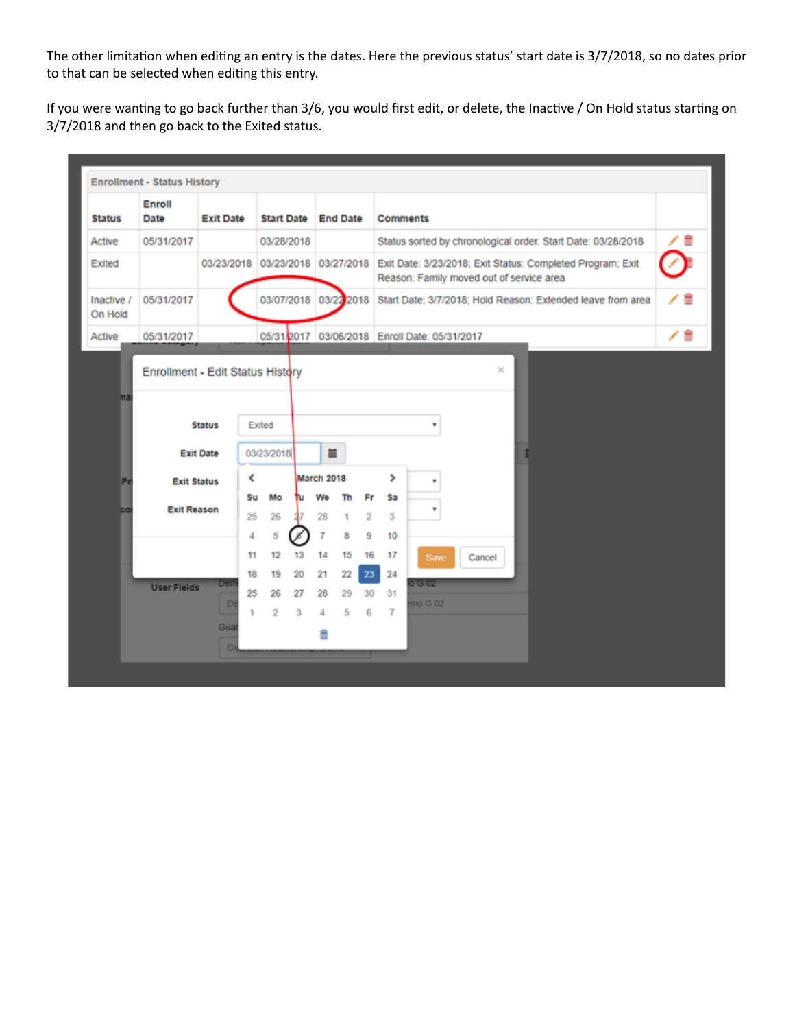The other limitation when editing an entry is the dates. Here the previous status' start date is 3/7/2018, so no dates prior to that can be selected when editing this entry.

If you were wanting to go back further than 3/6, you would first edit, or delete, the Inactive / On Hold status starting on 3/7/2018 and then go back to the Exited status.

|                       | <b>Enrollment - Status History</b> |                  |          |                       |          |            |                 |                      |                 |                                                                                                                                         |        |          |  |  |    |  |
|-----------------------|------------------------------------|------------------|----------|-----------------------|----------|------------|-----------------|----------------------|-----------------|-----------------------------------------------------------------------------------------------------------------------------------------|--------|----------|--|--|----|--|
| <b>Status</b>         | Enroll<br>Date                     | <b>Exit Date</b> |          | <b>Start Date</b>     |          |            | <b>End Date</b> |                      | <b>Comments</b> |                                                                                                                                         |        |          |  |  |    |  |
| Active                | 05/31/2017                         |                  |          | 03/28/2018            |          |            |                 |                      |                 | Status sorted by chronological order. Start Date: 03/28/2018                                                                            |        |          |  |  |    |  |
| Exited                |                                    |                  |          |                       |          |            |                 |                      |                 | 03/23/2018 03/23/2018 03/27/2018 Exit Date: 3/23/2018; Exit Status: Completed Program; Exit<br>Reason: Family moved out of service area |        |          |  |  |    |  |
| Inactive /<br>On Hold | 05/31/2017                         |                  |          | 03/07/2018 03/22 2018 |          |            |                 |                      |                 | Start Date: 3/7/2018; Hold Reason: Extended leave from area                                                                             |        |          |  |  |    |  |
| Active                | 05/31/2017                         |                  |          |                       |          |            |                 |                      |                 | 05/31/2017 03/06/2018 Enroll Date: 05/31/2017                                                                                           |        |          |  |  | ノ自 |  |
|                       | Enrollment - Edit Status History   |                  |          |                       |          |            |                 |                      |                 |                                                                                                                                         |        | $\times$ |  |  |    |  |
|                       |                                    | <b>Status</b>    |          | Exited                |          |            |                 |                      |                 | ٠                                                                                                                                       |        |          |  |  |    |  |
|                       |                                    | <b>Exit Date</b> |          | 03/23/2018            |          | $\equiv$   |                 |                      |                 |                                                                                                                                         |        |          |  |  |    |  |
| Pr                    | <b>Exit Status</b>                 |                  | K        |                       |          | March 2018 |                 |                      | >               | ٠                                                                                                                                       |        |          |  |  |    |  |
| co                    | <b>Exit Reason</b>                 |                  | Su<br>25 | Mo<br>26              | ħu       | We<br>28   | Th<br>1         | Fr<br>$\overline{2}$ | Sa<br>3         | ٠                                                                                                                                       |        |          |  |  |    |  |
|                       |                                    |                  | 4        | 5                     |          | 7          | 8               | 9                    | 10              |                                                                                                                                         |        |          |  |  |    |  |
|                       |                                    |                  | 11<br>18 | 12<br>19              | 13<br>20 | 14<br>21   | 15<br>22        | 16<br>23             | 17<br>24        | Save                                                                                                                                    | Cancel |          |  |  |    |  |
|                       | <b>User Fields</b>                 | Den              | 25       | 26                    | 27       | 28         | 29              | 30                   | 31              | 0.5004                                                                                                                                  |        |          |  |  |    |  |
|                       |                                    | D                | 1        | $\overline{2}$        | 3        | 4          | 5               | 6                    | $\overline{I}$  | mo G 02                                                                                                                                 |        |          |  |  |    |  |
|                       |                                    | Gua<br>G         |          |                       |          | Ê          |                 |                      |                 |                                                                                                                                         |        |          |  |  |    |  |
|                       |                                    |                  |          |                       |          |            |                 |                      |                 |                                                                                                                                         |        |          |  |  |    |  |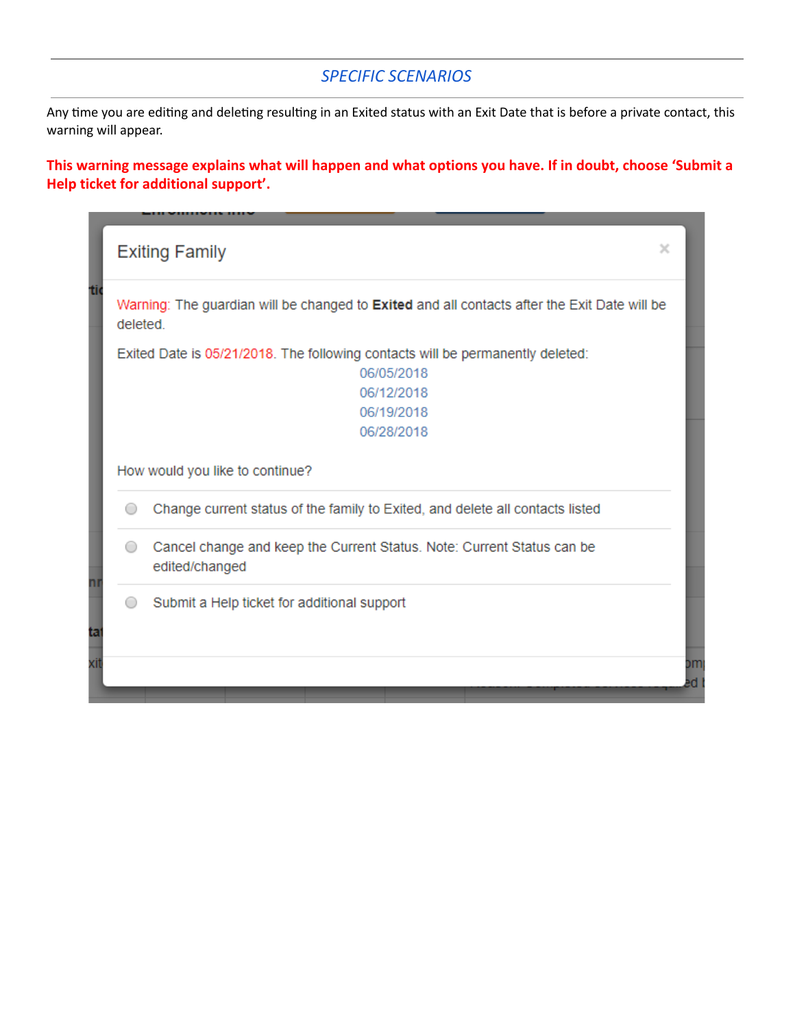#### *SPECIFIC SCENARIOS*

Any time you are editing and deleting resulting in an Exited status with an Exit Date that is before a private contact, this warning will appear.

**This warning message explains what will happen and what options you have. If in doubt, choose 'Submit a Help ticket for additional support'.**

|     | $\times$<br><b>Exiting Family</b>                                                                        |    |
|-----|----------------------------------------------------------------------------------------------------------|----|
| tio | Warning: The guardian will be changed to Exited and all contacts after the Exit Date will be<br>deleted. |    |
|     | Exited Date is 05/21/2018. The following contacts will be permanently deleted:                           |    |
|     | 06/05/2018                                                                                               |    |
|     | 06/12/2018                                                                                               |    |
|     | 06/19/2018                                                                                               |    |
|     | 06/28/2018                                                                                               |    |
|     | How would you like to continue?                                                                          |    |
|     | Change current status of the family to Exited, and delete all contacts listed                            |    |
|     | Cancel change and keep the Current Status. Note: Current Status can be<br>edited/changed                 |    |
| ta  | Submit a Help ticket for additional support                                                              |    |
| Xľ  |                                                                                                          | DM |